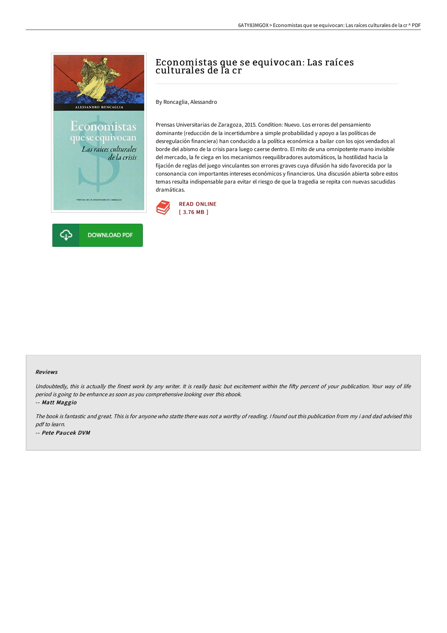



# Economistas que se equivocan: Las raíces culturales de la cr

By Roncaglia, Alessandro

Prensas Universitarias de Zaragoza, 2015. Condition: Nuevo. Los errores del pensamiento dominante (reducción de la incertidumbre a simple probabilidad y apoyo a las políticas de desregulación financiera) han conducido a la política económica a bailar con los ojos vendados al borde del abismo de la crisis para luego caerse dentro. El mito de una omnipotente mano invisible del mercado, la fe ciega en los mecanismos reequilibradores automáticos, la hostilidad hacia la fijación de reglas del juego vinculantes son errores graves cuya difusión ha sido favorecida por la consonancia con importantes intereses económicos y financieros. Una discusión abierta sobre estos temas resulta indispensable para evitar el riesgo de que la tragedia se repita con nuevas sacudidas dramáticas.



#### Reviews

Undoubtedly, this is actually the finest work by any writer. It is really basic but excitement within the fifty percent of your publication. Your way of life period is going to be enhance as soon as you comprehensive looking over this ebook.

-- Matt Maggio

The book is fantastic and great. This is for anyone who statte there was not <sup>a</sup> worthy of reading. <sup>I</sup> found out this publication from my i and dad advised this pdf to learn. -- Pete Paucek DVM